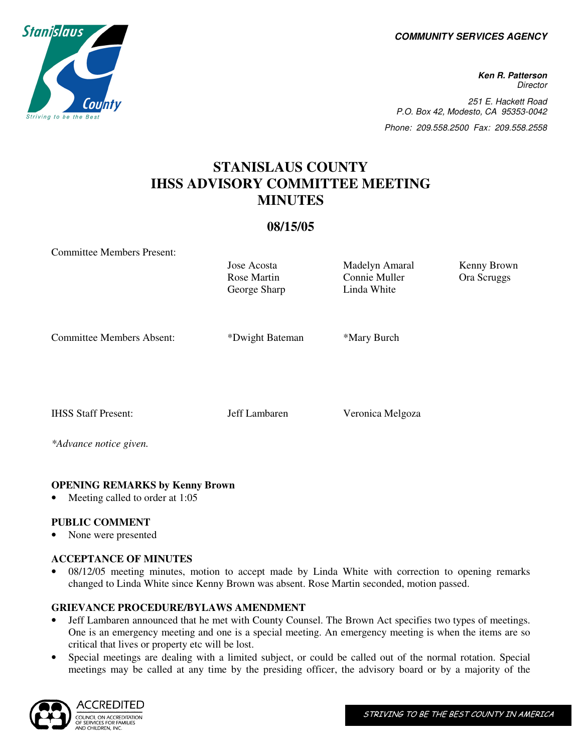**COMMUNITY SERVICES AGENCY** 

**Ken R. Patterson Director** 251 E. Hackett Road P.O. Box 42, Modesto, CA 95353-0042 Phone: 209.558.2500 Fax: 209.558.2558

# **STANISLAUS COUNTY IHSS ADVISORY COMMITTEE MEETING MINUTES**

## **08/15/05**

Committee Members Present:

Rose Martin George Sharp

Jose Acosta Madelyn Amaral Kenny Brown Connie Muller Linda White

Ora Scruggs

Committee Members Absent: \*Dwight Bateman \*Mary Burch

IHSS Staff Present: Jeff Lambaren Veronica Melgoza

*\*Advance notice given.* 

## **OPENING REMARKS by Kenny Brown**

Meeting called to order at 1:05

## **PUBLIC COMMENT**

• None were presented

#### **ACCEPTANCE OF MINUTES**

• 08/12/05 meeting minutes, motion to accept made by Linda White with correction to opening remarks changed to Linda White since Kenny Brown was absent. Rose Martin seconded, motion passed.

#### **GRIEVANCE PROCEDURE/BYLAWS AMENDMENT**

- Jeff Lambaren announced that he met with County Counsel. The Brown Act specifies two types of meetings. One is an emergency meeting and one is a special meeting. An emergency meeting is when the items are so critical that lives or property etc will be lost.
- Special meetings are dealing with a limited subject, or could be called out of the normal rotation. Special meetings may be called at any time by the presiding officer, the advisory board or by a majority of the



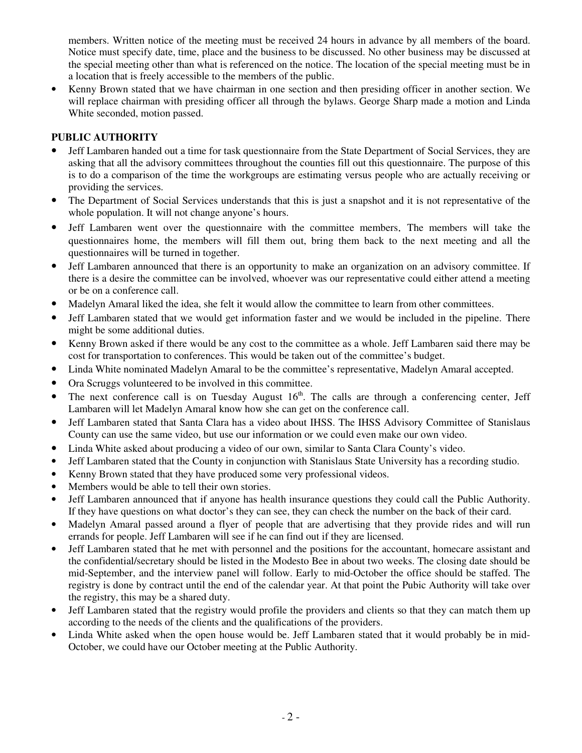members. Written notice of the meeting must be received 24 hours in advance by all members of the board. Notice must specify date, time, place and the business to be discussed. No other business may be discussed at the special meeting other than what is referenced on the notice. The location of the special meeting must be in a location that is freely accessible to the members of the public.

• Kenny Brown stated that we have chairman in one section and then presiding officer in another section. We will replace chairman with presiding officer all through the bylaws. George Sharp made a motion and Linda White seconded, motion passed.

## **PUBLIC AUTHORITY**

- Jeff Lambaren handed out a time for task questionnaire from the State Department of Social Services, they are asking that all the advisory committees throughout the counties fill out this questionnaire. The purpose of this is to do a comparison of the time the workgroups are estimating versus people who are actually receiving or providing the services.
- The Department of Social Services understands that this is just a snapshot and it is not representative of the whole population. It will not change anyone's hours.
- Jeff Lambaren went over the questionnaire with the committee members. The members will take the questionnaires home, the members will fill them out, bring them back to the next meeting and all the questionnaires will be turned in together.
- Jeff Lambaren announced that there is an opportunity to make an organization on an advisory committee. If there is a desire the committee can be involved, whoever was our representative could either attend a meeting or be on a conference call.
- Madelyn Amaral liked the idea, she felt it would allow the committee to learn from other committees.
- Jeff Lambaren stated that we would get information faster and we would be included in the pipeline. There might be some additional duties.
- Kenny Brown asked if there would be any cost to the committee as a whole. Jeff Lambaren said there may be cost for transportation to conferences. This would be taken out of the committee's budget.
- Linda White nominated Madelyn Amaral to be the committee's representative, Madelyn Amaral accepted.
- Ora Scruggs volunteered to be involved in this committee.
- The next conference call is on Tuesday August  $16<sup>th</sup>$ . The calls are through a conferencing center, Jeff Lambaren will let Madelyn Amaral know how she can get on the conference call.
- Jeff Lambaren stated that Santa Clara has a video about IHSS. The IHSS Advisory Committee of Stanislaus County can use the same video, but use our information or we could even make our own video.
- Linda White asked about producing a video of our own, similar to Santa Clara County's video.
- Jeff Lambaren stated that the County in conjunction with Stanislaus State University has a recording studio.
- Kenny Brown stated that they have produced some very professional videos.
- Members would be able to tell their own stories.
- Jeff Lambaren announced that if anyone has health insurance questions they could call the Public Authority. If they have questions on what doctor's they can see, they can check the number on the back of their card.
- Madelyn Amaral passed around a flyer of people that are advertising that they provide rides and will run errands for people. Jeff Lambaren will see if he can find out if they are licensed.
- Jeff Lambaren stated that he met with personnel and the positions for the accountant, homecare assistant and the confidential/secretary should be listed in the Modesto Bee in about two weeks. The closing date should be mid-September, and the interview panel will follow. Early to mid-October the office should be staffed. The registry is done by contract until the end of the calendar year. At that point the Pubic Authority will take over the registry, this may be a shared duty.
- Jeff Lambaren stated that the registry would profile the providers and clients so that they can match them up according to the needs of the clients and the qualifications of the providers.
- Linda White asked when the open house would be. Jeff Lambaren stated that it would probably be in mid-October, we could have our October meeting at the Public Authority.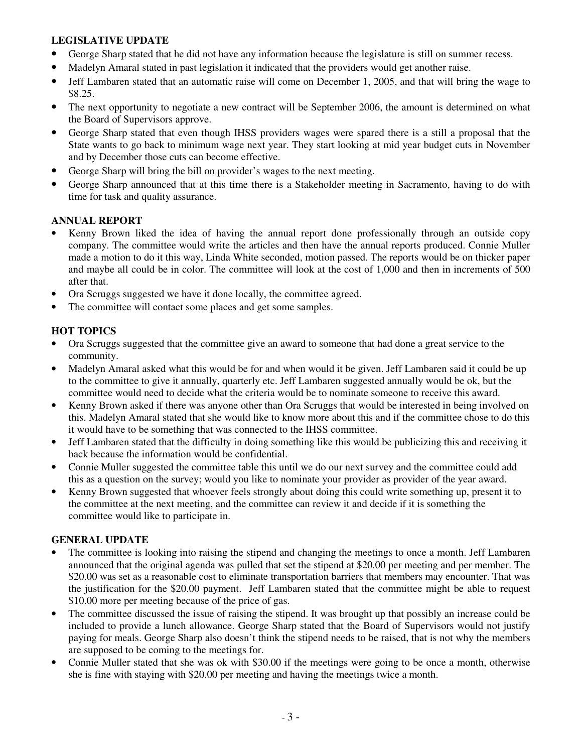## **LEGISLATIVE UPDATE**

- George Sharp stated that he did not have any information because the legislature is still on summer recess.
- Madelyn Amaral stated in past legislation it indicated that the providers would get another raise.
- Jeff Lambaren stated that an automatic raise will come on December 1, 2005, and that will bring the wage to \$8.25.
- The next opportunity to negotiate a new contract will be September 2006, the amount is determined on what the Board of Supervisors approve.
- George Sharp stated that even though IHSS providers wages were spared there is a still a proposal that the State wants to go back to minimum wage next year. They start looking at mid year budget cuts in November and by December those cuts can become effective.
- George Sharp will bring the bill on provider's wages to the next meeting.
- George Sharp announced that at this time there is a Stakeholder meeting in Sacramento, having to do with time for task and quality assurance.

#### **ANNUAL REPORT**

- Kenny Brown liked the idea of having the annual report done professionally through an outside copy company. The committee would write the articles and then have the annual reports produced. Connie Muller made a motion to do it this way, Linda White seconded, motion passed. The reports would be on thicker paper and maybe all could be in color. The committee will look at the cost of 1,000 and then in increments of 500 after that.
- Ora Scruggs suggested we have it done locally, the committee agreed.
- The committee will contact some places and get some samples.

## **HOT TOPICS**

- Ora Scruggs suggested that the committee give an award to someone that had done a great service to the community.
- Madelyn Amaral asked what this would be for and when would it be given. Jeff Lambaren said it could be up to the committee to give it annually, quarterly etc. Jeff Lambaren suggested annually would be ok, but the committee would need to decide what the criteria would be to nominate someone to receive this award.
- Kenny Brown asked if there was anyone other than Ora Scruggs that would be interested in being involved on this. Madelyn Amaral stated that she would like to know more about this and if the committee chose to do this it would have to be something that was connected to the IHSS committee.
- Jeff Lambaren stated that the difficulty in doing something like this would be publicizing this and receiving it back because the information would be confidential.
- Connie Muller suggested the committee table this until we do our next survey and the committee could add this as a question on the survey; would you like to nominate your provider as provider of the year award.
- Kenny Brown suggested that whoever feels strongly about doing this could write something up, present it to the committee at the next meeting, and the committee can review it and decide if it is something the committee would like to participate in.

#### **GENERAL UPDATE**

- The committee is looking into raising the stipend and changing the meetings to once a month. Jeff Lambaren announced that the original agenda was pulled that set the stipend at \$20.00 per meeting and per member. The \$20.00 was set as a reasonable cost to eliminate transportation barriers that members may encounter. That was the justification for the \$20.00 payment. Jeff Lambaren stated that the committee might be able to request \$10.00 more per meeting because of the price of gas.
- The committee discussed the issue of raising the stipend. It was brought up that possibly an increase could be included to provide a lunch allowance. George Sharp stated that the Board of Supervisors would not justify paying for meals. George Sharp also doesn't think the stipend needs to be raised, that is not why the members are supposed to be coming to the meetings for.
- Connie Muller stated that she was ok with \$30.00 if the meetings were going to be once a month, otherwise she is fine with staying with \$20.00 per meeting and having the meetings twice a month.